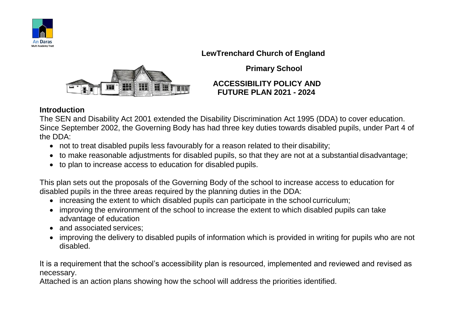

## **LewTrenchard Church of England**



**Primary School**

### **ACCESSIBILITY POLICY AND FUTURE PLAN 2021 - 2024**

## **Introduction**

The SEN and Disability Act 2001 extended the Disability Discrimination Act 1995 (DDA) to cover education. Since September 2002, the Governing Body has had three key duties towards disabled pupils, under Part 4 of the DDA:

- not to treat disabled pupils less favourably for a reason related to their disability;
- to make reasonable adjustments for disabled pupils, so that they are not at a substantial disadvantage;
- to plan to increase access to education for disabled pupils.

This plan sets out the proposals of the Governing Body of the school to increase access to education for disabled pupils in the three areas required by the planning duties in the DDA:

- increasing the extent to which disabled pupils can participate in the school curriculum;
- improving the environment of the school to increase the extent to which disabled pupils can take advantage of education
- and associated services:
- improving the delivery to disabled pupils of information which is provided in writing for pupils who are not disabled.

It is a requirement that the school's accessibility plan is resourced, implemented and reviewed and revised as necessary.

Attached is an action plans showing how the school will address the priorities identified.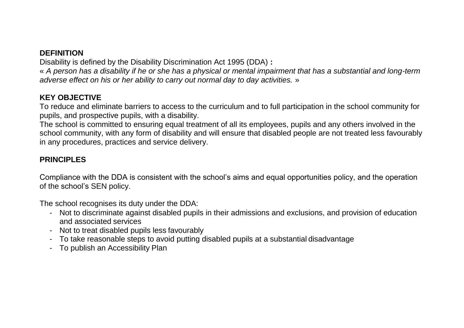## **DEFINITION**

Disability is defined by the Disability Discrimination Act 1995 (DDA) **:**

« *A person has a disability if he or she has a physical or mental impairment that has a substantial and long-term adverse effect on his or her ability to carry out normal day to day activities.* »

## **KEY OBJECTIVE**

To reduce and eliminate barriers to access to the curriculum and to full participation in the school community for pupils, and prospective pupils, with a disability.

The school is committed to ensuring equal treatment of all its employees, pupils and any others involved in the school community, with any form of disability and will ensure that disabled people are not treated less favourably in any procedures, practices and service delivery.

# **PRINCIPLES**

Compliance with the DDA is consistent with the school's aims and equal opportunities policy, and the operation of the school's SEN policy.

The school recognises its duty under the DDA:

- Not to discriminate against disabled pupils in their admissions and exclusions, and provision of education and associated services
- Not to treat disabled pupils less favourably
- To take reasonable steps to avoid putting disabled pupils at a substantial disadvantage
- To publish an Accessibility Plan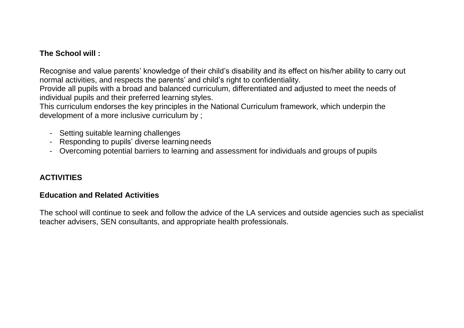### **The School will :**

Recognise and value parents' knowledge of their child's disability and its effect on his/her ability to carry out normal activities, and respects the parents' and child's right to confidentiality.

Provide all pupils with a broad and balanced curriculum, differentiated and adjusted to meet the needs of individual pupils and their preferred learning styles.

This curriculum endorses the key principles in the National Curriculum framework, which underpin the development of a more inclusive curriculum by ;

- Setting suitable learning challenges
- Responding to pupils' diverse learning needs
- Overcoming potential barriers to learning and assessment for individuals and groups of pupils

## **ACTIVITIES**

#### **Education and Related Activities**

The school will continue to seek and follow the advice of the LA services and outside agencies such as specialist teacher advisers, SEN consultants, and appropriate health professionals.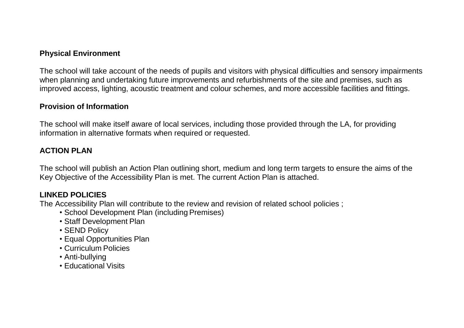#### **Physical Environment**

The school will take account of the needs of pupils and visitors with physical difficulties and sensory impairments when planning and undertaking future improvements and refurbishments of the site and premises, such as improved access, lighting, acoustic treatment and colour schemes, and more accessible facilities and fittings.

## **Provision of Information**

The school will make itself aware of local services, including those provided through the LA, for providing information in alternative formats when required or requested.

# **ACTION PLAN**

The school will publish an Action Plan outlining short, medium and long term targets to ensure the aims of the Key Objective of the Accessibility Plan is met. The current Action Plan is attached.

# **LINKED POLICIES**

The Accessibility Plan will contribute to the review and revision of related school policies ;

- School Development Plan (including Premises)
- Staff Development Plan
- SEND Policy
- Equal Opportunities Plan
- Curriculum Policies
- Anti-bullying
- Educational Visits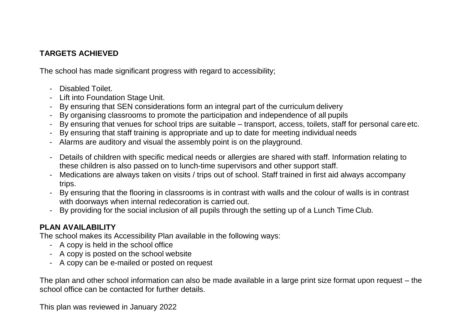# **TARGETS ACHIEVED**

The school has made significant progress with regard to accessibility;

- Disabled Toilet.
- Lift into Foundation Stage Unit.
- By ensuring that SEN considerations form an integral part of the curriculum delivery
- By organising classrooms to promote the participation and independence of all pupils
- By ensuring that venues for school trips are suitable transport, access, toilets, staff for personal care etc.
- By ensuring that staff training is appropriate and up to date for meeting individual needs
- Alarms are auditory and visual the assembly point is on the playground.
- Details of children with specific medical needs or allergies are shared with staff. Information relating to these children is also passed on to lunch-time supervisors and other support staff.
- Medications are always taken on visits / trips out of school. Staff trained in first aid always accompany trips.
- By ensuring that the flooring in classrooms is in contrast with walls and the colour of walls is in contrast with doorways when internal redecoration is carried out.
- By providing for the social inclusion of all pupils through the setting up of a Lunch Time Club.

## **PLAN AVAILABILITY**

The school makes its Accessibility Plan available in the following ways:

- A copy is held in the school office
- A copy is posted on the school website
- A copy can be e-mailed or posted on request

The plan and other school information can also be made available in a large print size format upon request – the school office can be contacted for further details.

This plan was reviewed in January 2022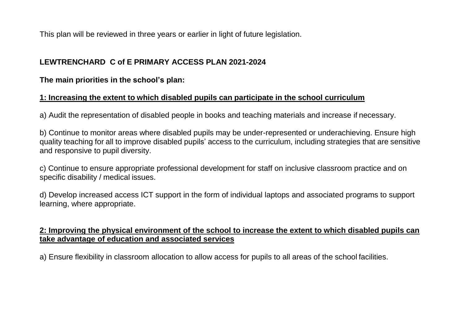This plan will be reviewed in three years or earlier in light of future legislation.

## **LEWTRENCHARD C of E PRIMARY ACCESS PLAN 2021-2024**

**The main priorities in the school's plan:**

## **1: Increasing the extent to which disabled pupils can participate in the school curriculum**

a) Audit the representation of disabled people in books and teaching materials and increase if necessary.

b) Continue to monitor areas where disabled pupils may be under-represented or underachieving. Ensure high quality teaching for all to improve disabled pupils' access to the curriculum, including strategies that are sensitive and responsive to pupil diversity.

c) Continue to ensure appropriate professional development for staff on inclusive classroom practice and on specific disability / medical issues.

d) Develop increased access ICT support in the form of individual laptops and associated programs to support learning, where appropriate.

#### **2: Improving the physical environment of the school to increase the extent to which disabled pupils can take advantage of education and associated services**

a) Ensure flexibility in classroom allocation to allow access for pupils to all areas of the school facilities.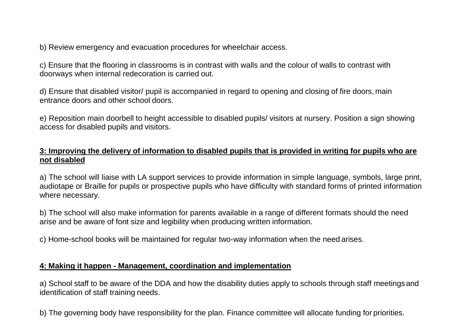b) Review emergency and evacuation procedures for wheelchair access.

c) Ensure that the flooring in classrooms is in contrast with walls and the colour of walls to contrast with doorways when internal redecoration is carried out.

d) Ensure that disabled visitor/ pupil is accompanied in regard to opening and closing of fire doors, main entrance doors and other school doors.

e) Reposition main doorbell to height accessible to disabled pupils/ visitors at nursery. Position a sign showing access for disabled pupils and visitors.

#### **3: Improving the delivery of information to disabled pupils that is provided in writing for pupils who are not disabled**

a) The school will liaise with LA support services to provide information in simple language, symbols, large print, audiotape or Braille for pupils or prospective pupils who have difficulty with standard forms of printed information where necessary.

b) The school will also make information for parents available in a range of different formats should the need arise and be aware of font size and legibility when producing written information.

c) Home-school books will be maintained for regular two-way information when the need arises.

### **4: Making it happen - Management, coordination and implementation**

a) School staff to be aware of the DDA and how the disability duties apply to schools through staff meetings and identification of staff training needs.

b) The governing body have responsibility for the plan. Finance committee will allocate funding for priorities.